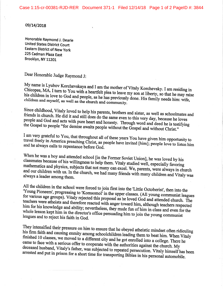## 09/14/2018

Honorable Raymond J. Dearie **United States District Court Eastern District of New York** 225 Cadman Plaza East Brooklyn, NY 11201

Dear Honorable Judge Raymond J:

My name is Lyubov Korchevskaya and I am the mother of Vitaly Korchevsky. I am residing in Chicopee, MA. I turn to You with a heartfelt plea to leave my son at liberty, so that he may raise his children in love to God and people, as he has previously done. His family needs him: wife, children and myself, as well as the church and community.

Since childhood, Vitaly loved to help his parents, brothers and sister, as well as schoolmates and friends in church. He did it and still does do the same even to this very day, because he loves people and God and acts with pure heart and honesty. Through word and deed he is testifying the Gospel to people "for demise awaits people without the Gospel and without Christ."

I am very grateful to You, that throughout all of these years You have given him opportunity to travel freely in America preaching Christ, as people have invited [him]; people love to listen him and he always calls to repentance before God.

When he was a boy and attended school [in the Former Soviet Union], he was loved by his classmates because of his willingness to help them. Vitaly studied well, especially favoring mathematics and physics, subjects that not many can excel. We, parents, were always in church and our children with us. In the church, we had many friends with many children and Vitaly was always a leader among them.

All the children in the school were forced to join first into the 'Little Octoberist', then into the 'Young Pioneers', progressing to 'Komsomol' in the upper classes. (All young communist leagues for various age groups). Vitaly rejected this proposal as he loved God and attended church. The teachers were atheists and therefore reacted with anger toward him, although teachers respected him for his knowledge and ability; nevertheless, they made fun of him in class and even for the whole lesson kept him in the director's office persuading him to join the young communist leagues and to reject his faith in God.

They intensified their pressure on him to ensure that he obeyed atheistic mindset often ridiculing his firm faith and causing enmity among schoolchildren leading them to beat him. When Vitaly finished 10 classes, we moved to a different city and he got enrolled into a college. There he came to face with a serious offer to cooperate with the authorities against the church. My deceased husband, Vitaly's father, was subjected to repeated persecution. Vitaly himself has been arrested and put in prison for a short time for transporting Bibles in his personal automobile.